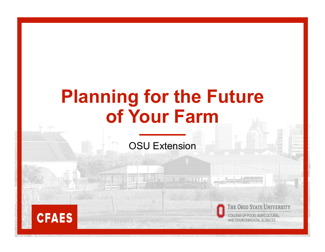# **Planning for the Future of Your Farm**

OSU Extension





THE OHIO STATE UNIVERSITY

**EGE OF FOOD, AGRICULTURAL** AND ENVIRONMENTAL SCIENCES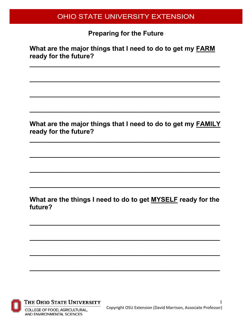**Preparing for the Future**

**What are the major things that I need to do to get my FARM ready for the future?**

**\_\_\_\_\_\_\_\_\_\_\_\_\_\_\_\_\_\_\_\_\_\_\_\_\_\_\_\_\_\_\_\_\_\_\_\_\_\_\_\_\_\_\_\_\_\_\_\_\_\_\_\_**

**\_\_\_\_\_\_\_\_\_\_\_\_\_\_\_\_\_\_\_\_\_\_\_\_\_\_\_\_\_\_\_\_\_\_\_\_\_\_\_\_\_\_\_\_\_\_\_\_\_\_\_\_**

**\_\_\_\_\_\_\_\_\_\_\_\_\_\_\_\_\_\_\_\_\_\_\_\_\_\_\_\_\_\_\_\_\_\_\_\_\_\_\_\_\_\_\_\_\_\_\_\_\_\_\_\_**

**\_\_\_\_\_\_\_\_\_\_\_\_\_\_\_\_\_\_\_\_\_\_\_\_\_\_\_\_\_\_\_\_\_\_\_\_\_\_\_\_\_\_\_\_\_\_\_\_\_\_\_\_**

**What are the major things that I need to do to get my FAMILY ready for the future?**

**\_\_\_\_\_\_\_\_\_\_\_\_\_\_\_\_\_\_\_\_\_\_\_\_\_\_\_\_\_\_\_\_\_\_\_\_\_\_\_\_\_\_\_\_\_\_\_\_\_\_\_\_**

**\_\_\_\_\_\_\_\_\_\_\_\_\_\_\_\_\_\_\_\_\_\_\_\_\_\_\_\_\_\_\_\_\_\_\_\_\_\_\_\_\_\_\_\_\_\_\_\_\_\_\_\_**

**\_\_\_\_\_\_\_\_\_\_\_\_\_\_\_\_\_\_\_\_\_\_\_\_\_\_\_\_\_\_\_\_\_\_\_\_\_\_\_\_\_\_\_\_\_\_\_\_\_\_\_\_**

**\_\_\_\_\_\_\_\_\_\_\_\_\_\_\_\_\_\_\_\_\_\_\_\_\_\_\_\_\_\_\_\_\_\_\_\_\_\_\_\_\_\_\_\_\_\_\_\_\_\_\_\_**

**What are the things I need to do to get MYSELF ready for the future?**

**\_\_\_\_\_\_\_\_\_\_\_\_\_\_\_\_\_\_\_\_\_\_\_\_\_\_\_\_\_\_\_\_\_\_\_\_\_\_\_\_\_\_\_\_\_\_\_\_\_\_\_\_**

**\_\_\_\_\_\_\_\_\_\_\_\_\_\_\_\_\_\_\_\_\_\_\_\_\_\_\_\_\_\_\_\_\_\_\_\_\_\_\_\_\_\_\_\_\_\_\_\_\_\_\_\_**

**\_\_\_\_\_\_\_\_\_\_\_\_\_\_\_\_\_\_\_\_\_\_\_\_\_\_\_\_\_\_\_\_\_\_\_\_\_\_\_\_\_\_\_\_\_\_\_\_\_\_\_\_**

**\_\_\_\_\_\_\_\_\_\_\_\_\_\_\_\_\_\_\_\_\_\_\_\_\_\_\_\_\_\_\_\_\_\_\_\_\_\_\_\_\_\_\_\_\_\_\_\_\_\_\_\_**



THE OHIO STATE UNIVERSITY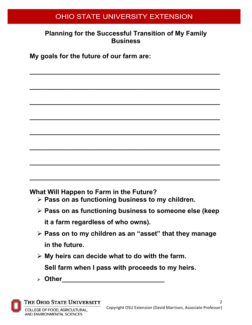### **Planning for the Successful Transition of My Family Business**

**\_\_\_\_\_\_\_\_\_\_\_\_\_\_\_\_\_\_\_\_\_\_\_\_\_\_\_\_\_\_\_\_\_\_\_\_\_\_\_\_\_\_\_\_\_\_\_\_\_\_\_\_**

**\_\_\_\_\_\_\_\_\_\_\_\_\_\_\_\_\_\_\_\_\_\_\_\_\_\_\_\_\_\_\_\_\_\_\_\_\_\_\_\_\_\_\_\_\_\_\_\_\_\_\_\_**

**\_\_\_\_\_\_\_\_\_\_\_\_\_\_\_\_\_\_\_\_\_\_\_\_\_\_\_\_\_\_\_\_\_\_\_\_\_\_\_\_\_\_\_\_\_\_\_\_\_\_\_\_**

**\_\_\_\_\_\_\_\_\_\_\_\_\_\_\_\_\_\_\_\_\_\_\_\_\_\_\_\_\_\_\_\_\_\_\_\_\_\_\_\_\_\_\_\_\_\_\_\_\_\_\_\_**

**\_\_\_\_\_\_\_\_\_\_\_\_\_\_\_\_\_\_\_\_\_\_\_\_\_\_\_\_\_\_\_\_\_\_\_\_\_\_\_\_\_\_\_\_\_\_\_\_\_\_\_\_**

**\_\_\_\_\_\_\_\_\_\_\_\_\_\_\_\_\_\_\_\_\_\_\_\_\_\_\_\_\_\_\_\_\_\_\_\_\_\_\_\_\_\_\_\_\_\_\_\_\_\_\_\_**

**\_\_\_\_\_\_\_\_\_\_\_\_\_\_\_\_\_\_\_\_\_\_\_\_\_\_\_\_\_\_\_\_\_\_\_\_\_\_\_\_\_\_\_\_\_\_\_\_\_\_\_\_**

**\_\_\_\_\_\_\_\_\_\_\_\_\_\_\_\_\_\_\_\_\_\_\_\_\_\_\_\_\_\_\_\_\_\_\_\_\_\_\_\_\_\_\_\_\_\_\_\_\_\_\_\_**

**My goals for the future of our farm are:** 

**What Will Happen to Farm in the Future?**

- **Pass on as functioning business to my children.**
- **Pass on as functioning business to someone else (keep it a farm regardless of who owns).**
- **Pass on to my children as an "asset" that they manage in the future.**
- **My heirs can decide what to do with the farm. Sell farm when I pass with proceeds to my heirs.**
- **Other\_\_\_\_\_\_\_\_\_\_\_\_\_\_\_\_\_\_\_\_\_\_\_\_\_\_\_\_**



THE OHIO STATE UNIVERSITY

 $\overline{\phantom{0}}$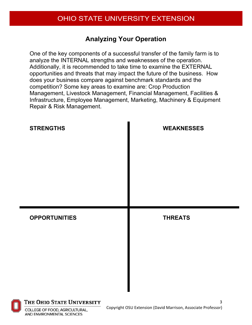## **Analyzing Your Operation**

One of the key components of a successful transfer of the family farm is to analyze the INTERNAL strengths and weaknesses of the operation. Additionally, it is recommended to take time to examine the EXTERNAL opportunities and threats that may impact the future of the business. How does your business compare against benchmark standards and the competition? Some key areas to examine are: Crop Production Management, Livestock Management, Financial Management, Facilities & Infrastructure, Employee Management, Marketing, Machinery & Equipment Repair & Risk Management.





THE OHIO STATE UNIVERSITY

COLLEGE OF FOOD, AGRICULTURAL, **AND ENVIRONMENTAL SCIENCES**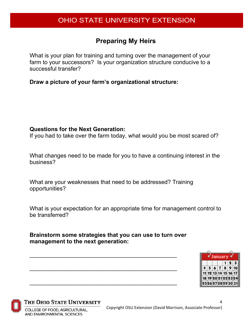## **Preparing My Heirs**

What is your plan for training and turning over the management of your farm to your successors? Is your organization structure conducive to a successful transfer?

**Draw a picture of your farm's organizational structure:**

#### **Questions for the Next Generation:**

If you had to take over the farm today, what would you be most scared of?

What changes need to be made for you to have a continuing interest in the business?

What are your weaknesses that need to be addressed? Training opportunities?

What is your expectation for an appropriate time for management control to be transferred?

**Brainstorm some strategies that you can use to turn over management to the next generation:**

\_\_\_\_\_\_\_\_\_\_\_\_\_\_\_\_\_\_\_\_\_\_\_\_\_\_\_\_\_\_\_\_\_\_\_\_\_\_\_\_\_\_\_\_\_\_

\_\_\_\_\_\_\_\_\_\_\_\_\_\_\_\_\_\_\_\_\_\_\_\_\_\_\_\_\_\_\_\_\_\_\_\_\_\_\_\_\_\_\_\_\_\_

\_\_\_\_\_\_\_\_\_\_\_\_\_\_\_\_\_\_\_\_\_\_\_\_\_\_\_\_\_\_\_\_\_\_\_\_\_\_\_\_\_\_\_\_\_\_



4



#### THE OHIO STATE UNIVERSITY

COLLEGE OF FOOD, AGRICULTURAL, **AND ENVIRONMENTAL SCIENCES**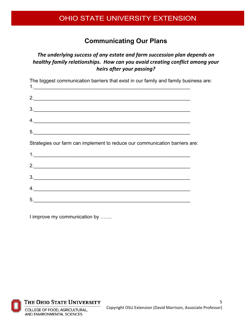### **Communicating Our Plans**

#### *The underlying success of any estate and farm succession plan depends on healthy family relationships. How can you avoid creating conflict among your heirs after your passing?*

| The biggest communication barriers that exist in our family and family business are: |  |
|--------------------------------------------------------------------------------------|--|
|                                                                                      |  |
| 3.                                                                                   |  |
| 4.                                                                                   |  |
| 5.                                                                                   |  |
| Strategies our farm can implement to reduce our communication barriers are:          |  |
|                                                                                      |  |
| 2.                                                                                   |  |
|                                                                                      |  |
| 4.                                                                                   |  |
| 5.                                                                                   |  |
|                                                                                      |  |

I improve my communication by …….

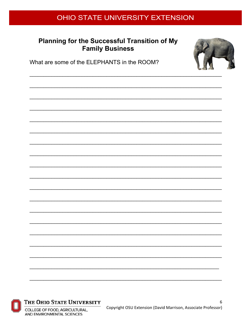#### Planning for the Successful Transition of My **Family Business**



What are some of the ELEPHANTS in the ROOM?





#### THE OHIO STATE UNIVERSITY

COLLEGE OF FOOD, AGRICULTURAL, AND ENVIRONMENTAL SCIENCES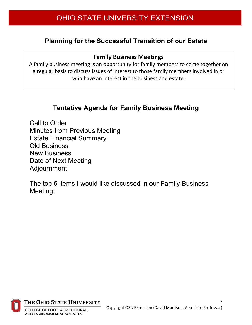## **Planning for the Successful Transition of our Estate**

#### **Family Business Meetings**

A family business meeting is an opportunity for family members to come together on a regular basis to discuss issues of interest to those family members involved in or who have an interest in the business and estate.

### **Tentative Agenda for Family Business Meeting**

Call to Order Minutes from Previous Meeting Estate Financial Summary Old Business New Business Date of Next Meeting Adjournment

The top 5 items I would like discussed in our Family Business Meeting:



THE OHIO STATE UNIVERSITY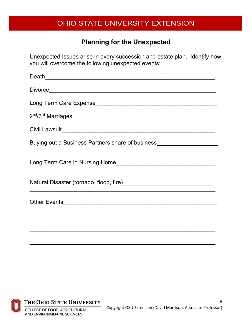# **Planning for the Unexpected**

Unexpected Issues arise in every succession and estate plan. Identify how you will overcome the following unexpected events:

| Death<br><u>Lease and the contract of the contract of the contract of the contract of the contract of the contract of the contract of the contract of the contract of the contract of the contract of the contract of the contract</u> |
|----------------------------------------------------------------------------------------------------------------------------------------------------------------------------------------------------------------------------------------|
|                                                                                                                                                                                                                                        |
|                                                                                                                                                                                                                                        |
|                                                                                                                                                                                                                                        |
|                                                                                                                                                                                                                                        |
| Buying out a Business Partners share of business________________________________<br><u> 1989 - Johann Barbara, marka masjid aka masjid aka masjid aka masjid aka masjid aka masjid aka masjid aka ma</u>                               |
| <u> 1989 - Johann Barbara, martin amerikan basar dan berasal dalam basa dalam basar dalam basar dalam basar dala</u>                                                                                                                   |
| ,我们也不能在这里的人,我们也不能在这里的人,我们也不能在这里的人,我们也不能在这里的人,我们也不能在这里的人,我们也不能在这里的人,我们也不能在这里的人,我们也                                                                                                                                                      |
| Other Events <b>Constitution</b> Change of the Constitution Change of the Constitution Change of the Constitution Change of the Constitution Change of the Constitution Change of the Constitution Change of the Constitution Chang    |
|                                                                                                                                                                                                                                        |
|                                                                                                                                                                                                                                        |
|                                                                                                                                                                                                                                        |



THE OHIO STATE UNIVERSITY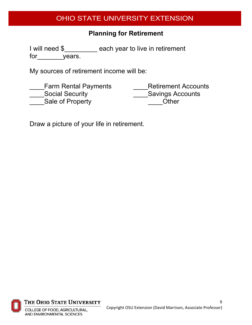## **Planning for Retirement**

I will need \$\_\_\_\_\_\_\_\_\_ each year to live in retirement for years.

My sources of retirement income will be:

| <b>Farm Rental Payments</b> | <b>Retirement Accounts</b> |
|-----------------------------|----------------------------|
| <b>Social Security</b>      | <b>Savings Accounts</b>    |
| Sale of Property            | Other                      |

Draw a picture of your life in retirement.



THE OHIO STATE UNIVERSITY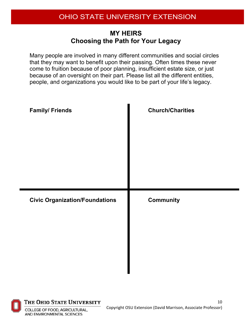#### **MY HEIRS Choosing the Path for Your Legacy**

Many people are involved in many different communities and social circles that they may want to benefit upon their passing. Often times these never come to fruition because of poor planning, insufficient estate size, or just because of an oversight on their part. Please list all the different entities, people, and organizations you would like to be part of your life's legacy.

| <b>Family/ Friends</b>                | <b>Church/Charities</b> |
|---------------------------------------|-------------------------|
| <b>Civic Organization/Foundations</b> | <b>Community</b>        |

 $\overline{a}$ 

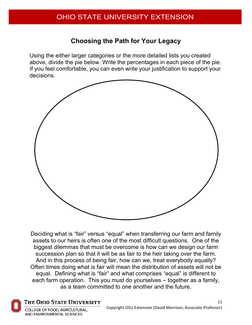## **Choosing the Path for Your Legacy**

Using the either larger categories or the more detailed lists you created above, divide the pie below. Write the percentages in each piece of the pie. If you feel comfortable, you can even write your justification to support your decisions.



Deciding what is "fair" versus "equal" when transferring our farm and family assets to our heirs is often one of the most difficult questions. One of the biggest dilemmas that must be overcome is how can we design our farm succession plan so that it will be as fair to the heir taking over the farm. And in this process of being fair, how can we, treat everybody equally? Often times doing what is fair will mean the distribution of assets will not be equal. Defining what is "fair" and what comprises "equal" is different to each farm operation. This you must do yourselves – together as a family, as a team committed to one another and the future.



#### THE OHIO STATE UNIVERSITY

COLLEGE OF FOOD, AGRICULTURAL. **AND ENVIRONMENTAL SCIENCES**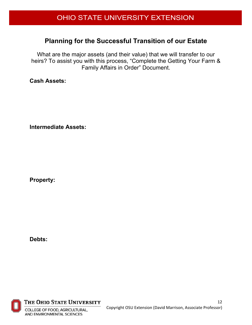#### **Planning for the Successful Transition of our Estate**

What are the major assets (and their value) that we will transfer to our heirs? To assist you with this process, "Complete the Getting Your Farm & Family Affairs in Order" Document.

**Cash Assets:**

**Intermediate Assets:**

**Property:**

**Debts:**



THE OHIO STATE UNIVERSITY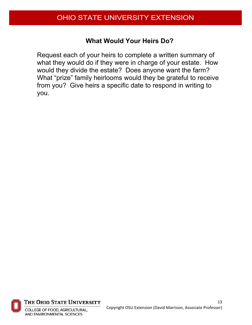#### **What Would Your Heirs Do?**

Request each of your heirs to complete a written summary of what they would do if they were in charge of your estate. How would they divide the estate? Does anyone want the farm? What "prize" family heirlooms would they be grateful to receive from you? Give heirs a specific date to respond in writing to you.



THE OHIO STATE UNIVERSITY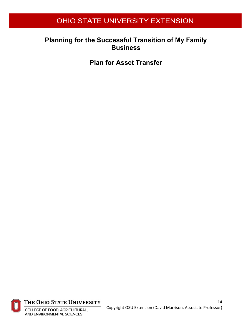#### **Planning for the Successful Transition of My Family Business**

**Plan for Asset Transfer**



THE OHIO STATE UNIVERSITY

COLLEGE OF FOOD, AGRICULTURAL, AND ENVIRONMENTAL SCIENCES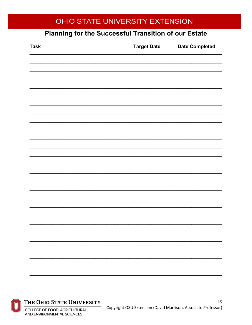# Planning for the Successful Transition of our Estate

| <b>Task</b> | <b>Target Date</b> | <b>Date Completed</b> |
|-------------|--------------------|-----------------------|
|             |                    |                       |
|             |                    |                       |
|             |                    |                       |
|             |                    |                       |
|             |                    |                       |
|             |                    |                       |
|             |                    |                       |
|             |                    |                       |
|             |                    |                       |
|             |                    |                       |
|             |                    |                       |
|             |                    |                       |
|             |                    |                       |
|             |                    |                       |
|             |                    |                       |
|             |                    |                       |
|             |                    |                       |
|             |                    |                       |
|             |                    |                       |
|             |                    |                       |



#### THE OHIO STATE UNIVERSITY

COLLEGE OF FOOD, AGRICULTURAL, AND ENVIRONMENTAL SCIENCES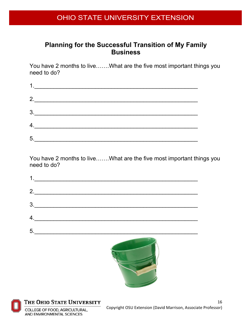#### **Planning for the Successful Transition of My Family Business**

You have 2 months to live…….What are the five most important things you need to do?

|    | $\begin{array}{c} \n 1. & \begin{array}{ccc} \hline \end{array} \end{array}$ |  |  |
|----|------------------------------------------------------------------------------|--|--|
|    | 2.                                                                           |  |  |
|    | $\begin{array}{c}\n3.\n\end{array}$                                          |  |  |
| 4. |                                                                              |  |  |
| 5. |                                                                              |  |  |

You have 2 months to live…….What are the five most important things you need to do?

| 1. |  |  |
|----|--|--|
| 2. |  |  |
| 3. |  |  |
| 4. |  |  |
| 5. |  |  |
|    |  |  |